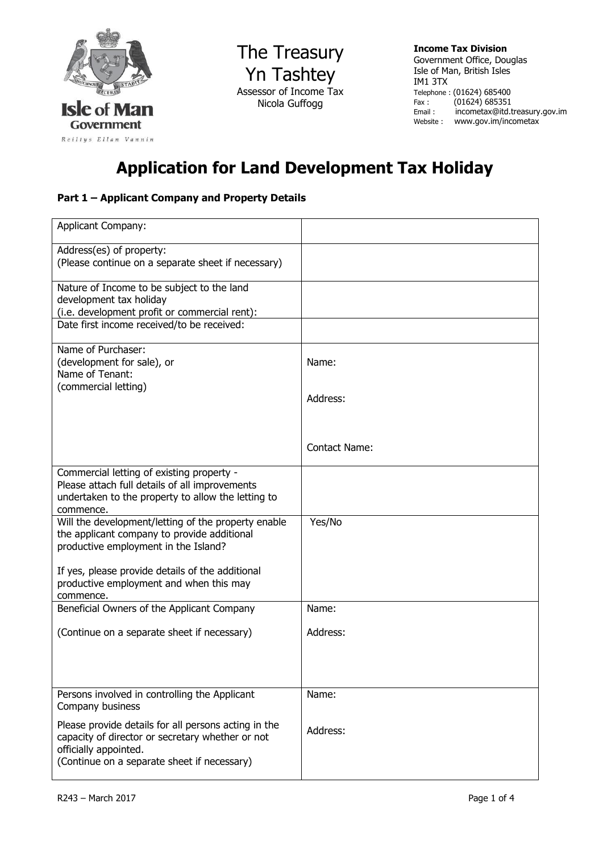

The Treasury Yn Tashtey Assessor of Income Tax Nicola Guffogg

**Income Tax Division**  Government Office, Douglas Isle of Man, British Isles IM1 3TX Telephone : (01624) 685400 Fax : (01624) 685351<br>Email : incometax@itd.t incometax@itd.treasury.gov.im Website : www.gov.im/incometax

## **Application for Land Development Tax Holiday**

## **Part 1 – Applicant Company and Property Details**

| <b>Applicant Company:</b>                                                                                                                                                        |                      |
|----------------------------------------------------------------------------------------------------------------------------------------------------------------------------------|----------------------|
| Address(es) of property:<br>(Please continue on a separate sheet if necessary)                                                                                                   |                      |
| Nature of Income to be subject to the land<br>development tax holiday<br>(i.e. development profit or commercial rent):                                                           |                      |
| Date first income received/to be received:                                                                                                                                       |                      |
| Name of Purchaser:<br>(development for sale), or<br>Name of Tenant:<br>(commercial letting)                                                                                      | Name:                |
|                                                                                                                                                                                  | Address:             |
|                                                                                                                                                                                  | <b>Contact Name:</b> |
| Commercial letting of existing property -<br>Please attach full details of all improvements<br>undertaken to the property to allow the letting to<br>commence.                   |                      |
| Will the development/letting of the property enable<br>the applicant company to provide additional<br>productive employment in the Island?                                       | Yes/No               |
| If yes, please provide details of the additional<br>productive employment and when this may<br>commence.                                                                         |                      |
| Beneficial Owners of the Applicant Company                                                                                                                                       | Name:                |
| (Continue on a separate sheet if necessary)                                                                                                                                      | Address:             |
| Persons involved in controlling the Applicant<br>Company business                                                                                                                | Name:                |
| Please provide details for all persons acting in the<br>capacity of director or secretary whether or not<br>officially appointed.<br>(Continue on a separate sheet if necessary) | Address:             |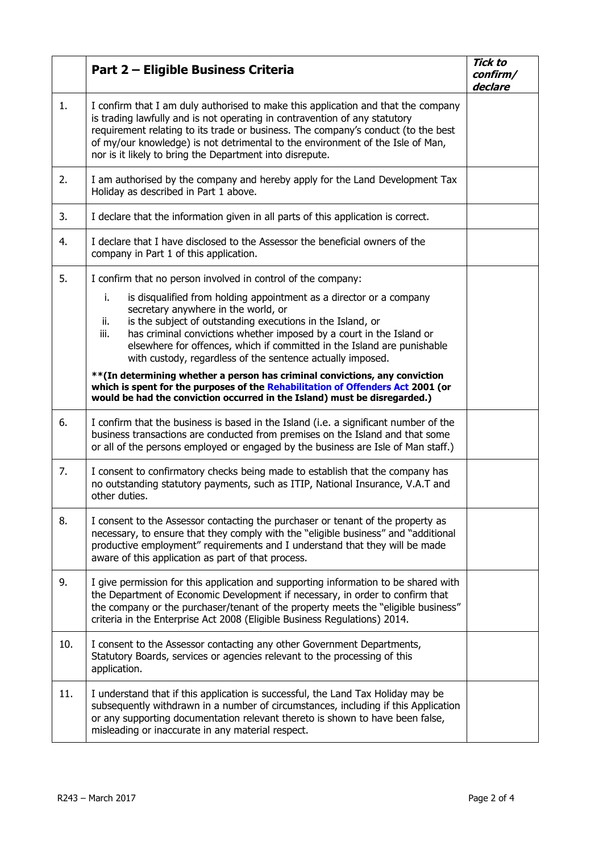|     | Part 2 - Eligible Business Criteria                                                                                                                                                                                                                                                                                                                                                                            | <b>Tick to</b><br>confirm/<br>declare |
|-----|----------------------------------------------------------------------------------------------------------------------------------------------------------------------------------------------------------------------------------------------------------------------------------------------------------------------------------------------------------------------------------------------------------------|---------------------------------------|
| 1.  | I confirm that I am duly authorised to make this application and that the company<br>is trading lawfully and is not operating in contravention of any statutory<br>requirement relating to its trade or business. The company's conduct (to the best<br>of my/our knowledge) is not detrimental to the environment of the Isle of Man,<br>nor is it likely to bring the Department into disrepute.             |                                       |
| 2.  | I am authorised by the company and hereby apply for the Land Development Tax<br>Holiday as described in Part 1 above.                                                                                                                                                                                                                                                                                          |                                       |
| 3.  | I declare that the information given in all parts of this application is correct.                                                                                                                                                                                                                                                                                                                              |                                       |
| 4.  | I declare that I have disclosed to the Assessor the beneficial owners of the<br>company in Part 1 of this application.                                                                                                                                                                                                                                                                                         |                                       |
| 5.  | I confirm that no person involved in control of the company:                                                                                                                                                                                                                                                                                                                                                   |                                       |
|     | i.<br>is disqualified from holding appointment as a director or a company<br>secretary anywhere in the world, or<br>is the subject of outstanding executions in the Island, or<br>ii.<br>iii.<br>has criminal convictions whether imposed by a court in the Island or<br>elsewhere for offences, which if committed in the Island are punishable<br>with custody, regardless of the sentence actually imposed. |                                       |
|     | **(In determining whether a person has criminal convictions, any conviction<br>which is spent for the purposes of the Rehabilitation of Offenders Act 2001 (or<br>would be had the conviction occurred in the Island) must be disregarded.)                                                                                                                                                                    |                                       |
| 6.  | I confirm that the business is based in the Island (i.e. a significant number of the<br>business transactions are conducted from premises on the Island and that some<br>or all of the persons employed or engaged by the business are Isle of Man staff.)                                                                                                                                                     |                                       |
| 7.  | I consent to confirmatory checks being made to establish that the company has<br>no outstanding statutory payments, such as ITIP, National Insurance, V.A.T and<br>other duties.                                                                                                                                                                                                                               |                                       |
| 8.  | I consent to the Assessor contacting the purchaser or tenant of the property as<br>necessary, to ensure that they comply with the "eligible business" and "additional<br>productive employment" requirements and I understand that they will be made<br>aware of this application as part of that process.                                                                                                     |                                       |
| 9.  | I give permission for this application and supporting information to be shared with<br>the Department of Economic Development if necessary, in order to confirm that<br>the company or the purchaser/tenant of the property meets the "eligible business"<br>criteria in the Enterprise Act 2008 (Eligible Business Regulations) 2014.                                                                         |                                       |
| 10. | I consent to the Assessor contacting any other Government Departments,<br>Statutory Boards, services or agencies relevant to the processing of this<br>application.                                                                                                                                                                                                                                            |                                       |
| 11. | I understand that if this application is successful, the Land Tax Holiday may be<br>subsequently withdrawn in a number of circumstances, including if this Application<br>or any supporting documentation relevant thereto is shown to have been false,<br>misleading or inaccurate in any material respect.                                                                                                   |                                       |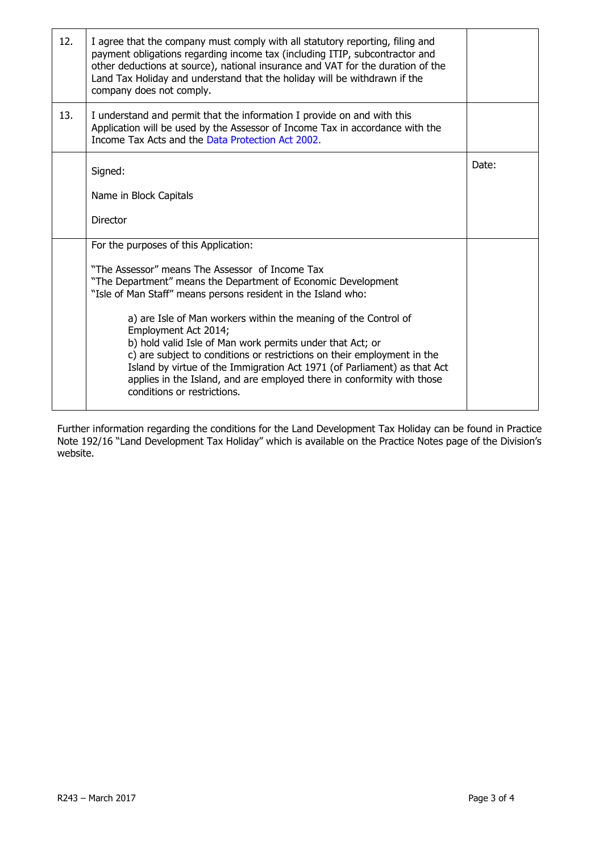| 12. | I agree that the company must comply with all statutory reporting, filing and<br>payment obligations regarding income tax (including ITIP, subcontractor and<br>other deductions at source), national insurance and VAT for the duration of the<br>Land Tax Holiday and understand that the holiday will be withdrawn if the<br>company does not comply.                                                             |       |
|-----|----------------------------------------------------------------------------------------------------------------------------------------------------------------------------------------------------------------------------------------------------------------------------------------------------------------------------------------------------------------------------------------------------------------------|-------|
| 13. | I understand and permit that the information I provide on and with this<br>Application will be used by the Assessor of Income Tax in accordance with the<br>Income Tax Acts and the Data Protection Act 2002.                                                                                                                                                                                                        |       |
|     | Signed:                                                                                                                                                                                                                                                                                                                                                                                                              | Date: |
|     | Name in Block Capitals                                                                                                                                                                                                                                                                                                                                                                                               |       |
|     | Director                                                                                                                                                                                                                                                                                                                                                                                                             |       |
|     | For the purposes of this Application:                                                                                                                                                                                                                                                                                                                                                                                |       |
|     | "The Assessor" means The Assessor of Income Tax<br>"The Department" means the Department of Economic Development<br>"Isle of Man Staff" means persons resident in the Island who:                                                                                                                                                                                                                                    |       |
|     | a) are Isle of Man workers within the meaning of the Control of<br>Employment Act 2014;<br>b) hold valid Isle of Man work permits under that Act; or<br>c) are subject to conditions or restrictions on their employment in the<br>Island by virtue of the Immigration Act 1971 (of Parliament) as that Act<br>applies in the Island, and are employed there in conformity with those<br>conditions or restrictions. |       |

Further information regarding the conditions for the Land Development Tax Holiday can be found in Practice Note 192/16 "Land Development Tax Holiday" which is available on the Practice Notes page of the Division's website.